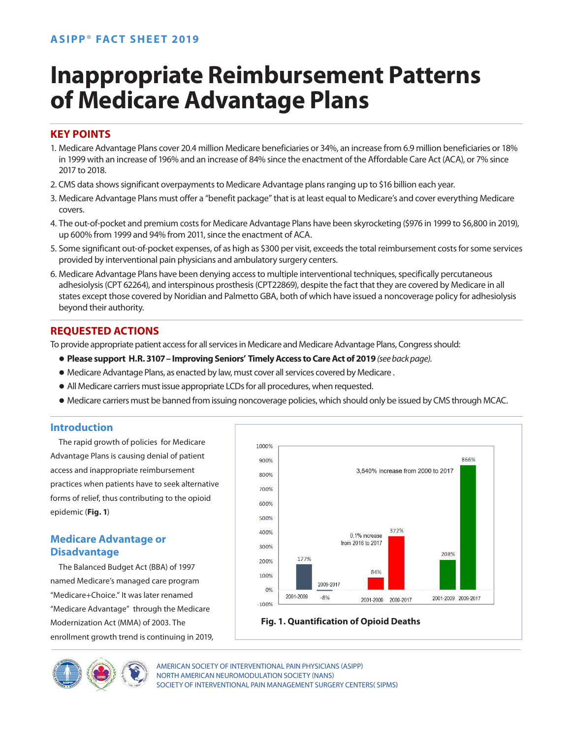# **Inappropriate Reimbursement Patterns of Medicare Advantage Plans**

## **KEY POINTS**

- 1. Medicare Advantage Plans cover 20.4 million Medicare beneficiaries or 34%, an increase from 6.9 million beneficiaries or 18% in 1999 with an increase of 196% and an increase of 84% since the enactment of the Affordable Care Act (ACA), or 7% since 2017 to 2018.
- 2. CMS data shows significant overpayments to Medicare Advantage plans ranging up to \$16 billion each year.
- 3. Medicare Advantage Plans must offer a "benefit package" that is at least equal to Medicare's and cover everything Medicare covers.
- 4. The out-of-pocket and premium costs for Medicare Advantage Plans have been skyrocketing (\$976 in 1999 to \$6,800 in 2019), up 600% from 1999 and 94% from 2011, since the enactment of ACA.
- 5. Some significant out-of-pocket expenses, of as high as \$300 per visit, exceeds the total reimbursement costs for some services provided by interventional pain physicians and ambulatory surgery centers.
- 6. Medicare Advantage Plans have been denying access to multiple interventional techniques, specifically percutaneous adhesiolysis (CPT 62264), and interspinous prosthesis (CPT22869), despite the fact that they are covered by Medicare in all states except those covered by Noridian and Palmetto GBA, both of which have issued a noncoverage policy for adhesiolysis beyond their authority.

## **REQUESTED ACTIONS**

To provide appropriate patient access for all services in Medicare and Medicare Advantage Plans, Congress should:

- **Please support H.R. 3107 Improving Seniors' Timely Access to Care Act of 2019** *(see back page).*
- $\bullet$  Medicare Advantage Plans, as enacted by law, must cover all services covered by Medicare .
- All Medicare carriers must issue appropriate LCDs for all procedures, when requested.
- Medicare carriers must be banned from issuing noncoverage policies, which should only be issued by CMS through MCAC.

## **Introduction**

The rapid growth of policies for Medicare Advantage Plans is causing denial of patient access and inappropriate reimbursement practices when patients have to seek alternative forms of relief, thus contributing to the opioid epidemic (**Fig. 1**)

## **Medicare Advantage or Disadvantage**

The Balanced Budget Act (BBA) of 1997 named Medicare's managed care program "Medicare+Choice." It was later renamed "Medicare Advantage" through the Medicare Modernization Act (MMA) of 2003. The enrollment growth trend is continuing in 2019,



## **Fig. 1. Quantification of Opioid Deaths**

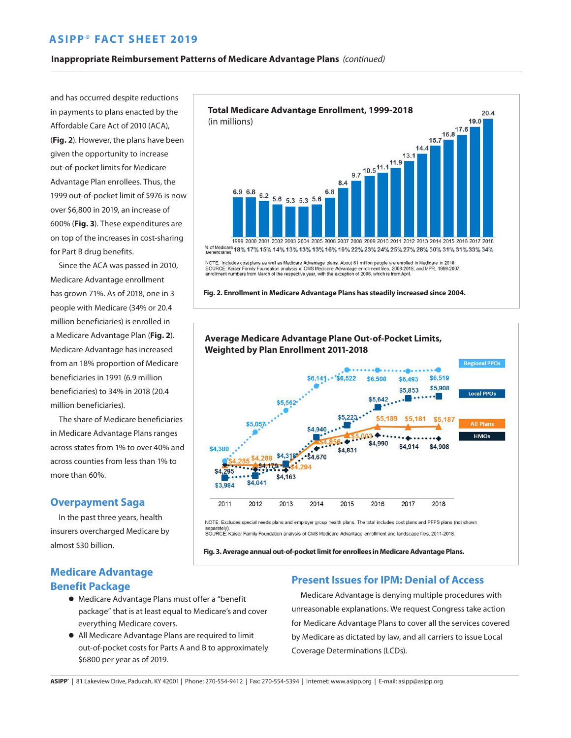## **ASIPP**® **FACT SHEET 2019**

#### **Inappropriate Reimbursement Patterns of Medicare Advantage Plans** *(continued)*

and has occurred despite reductions in payments to plans enacted by the Affordable Care Act of 2010 (ACA), (**Fig. 2**). However, the plans have been given the opportunity to increase out-of-pocket limits for Medicare Advantage Plan enrollees. Thus, the 1999 out-of-pocket limit of \$976 is now over \$6,800 in 2019, an increase of 600% (**Fig. 3**). These expenditures are on top of the increases in cost-sharing for Part B drug benefits.

Since the ACA was passed in 2010, Medicare Advantage enrollment has grown 71%. As of 2018, one in 3 people with Medicare (34% or 20.4 million beneficiaries) is enrolled in a Medicare Advantage Plan (**Fig. 2**). Medicare Advantage has increased from an 18% proportion of Medicare beneficiaries in 1991 (6.9 million beneficiaries) to 34% in 2018 (20.4 million beneficiaries).

The share of Medicare beneficiaries in Medicare Advantage Plans ranges across states from 1% to over 40% and across counties from less than 1% to more than 60%.

#### **Overpayment Saga**

In the past three years, health insurers overcharged Medicare by almost \$30 billion.



- Medicare Advantage Plans must offer a "benefit package" that is at least equal to Medicare's and cover everything Medicare covers.
- All Medicare Advantage Plans are required to limit out-of-pocket costs for Parts A and B to approximately \$6800 per year as of 2019.



NOTE: Includes cost plans as well as Medicare Advantage plans. About 61 million people are enrolled in Medicare in 2018.<br>SOURCE: Kaiser Family Foundation analysis of CMS Medicare Advantage enrollment files, 2008-2018, and

**Fig. 2. Enrollment in Medicare Advantage Plans has steadily increased since 2004.**



separatety).<br>SOURCE: Kaiser Family Foundation analysis of CMS Medicare Advantage enrollment and landscape files, 2011-2018.

**Fig. 3. Average annual out-of-pocket limit for enrollees in Medicare Advantage Plans.** 

#### **Present Issues for IPM: Denial of Access**

Medicare Advantage is denying multiple procedures with unreasonable explanations. We request Congress take action for Medicare Advantage Plans to cover all the services covered by Medicare as dictated by law, and all carriers to issue Local Coverage Determinations (LCDs).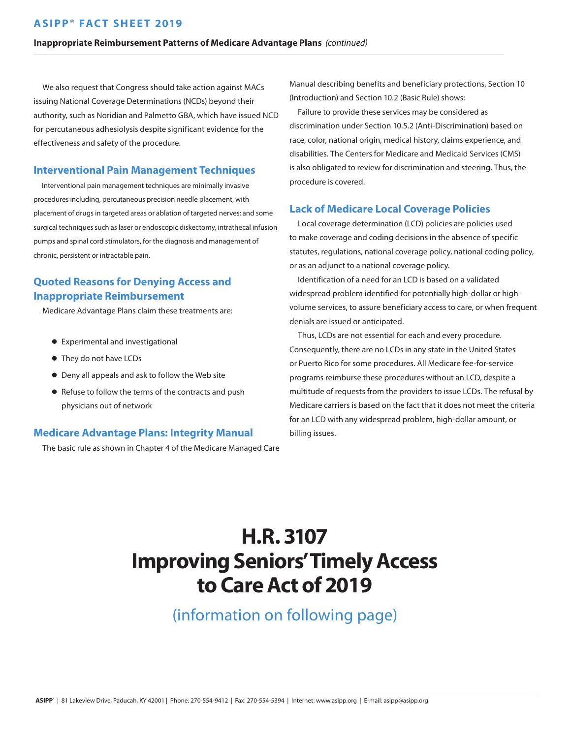## **ASIPP**® **FACT SHEET 2019**

#### **Inappropriate Reimbursement Patterns of Medicare Advantage Plans** *(continued)*

We also request that Congress should take action against MACs issuing National Coverage Determinations (NCDs) beyond their authority, such as Noridian and Palmetto GBA, which have issued NCD for percutaneous adhesiolysis despite significant evidence for the effectiveness and safety of the procedure.

#### **Interventional Pain Management Techniques**

Interventional pain management techniques are minimally invasive procedures including, percutaneous precision needle placement, with placement of drugs in targeted areas or ablation of targeted nerves; and some surgical techniques such as laser or endoscopic diskectomy, intrathecal infusion pumps and spinal cord stimulators, for the diagnosis and management of chronic, persistent or intractable pain.

## **Quoted Reasons for Denying Access and Inappropriate Reimbursement**

Medicare Advantage Plans claim these treatments are:

- Experimental and investigational
- They do not have LCDs
- Deny all appeals and ask to follow the Web site
- Refuse to follow the terms of the contracts and push physicians out of network

#### **Medicare Advantage Plans: Integrity Manual**

The basic rule as shown in Chapter 4 of the Medicare Managed Care

Manual describing benefits and beneficiary protections, Section 10 (Introduction) and Section 10.2 (Basic Rule) shows:

Failure to provide these services may be considered as discrimination under Section 10.5.2 (Anti-Discrimination) based on race, color, national origin, medical history, claims experience, and disabilities. The Centers for Medicare and Medicaid Services (CMS) is also obligated to review for discrimination and steering. Thus, the procedure is covered.

#### **Lack of Medicare Local Coverage Policies**

Local coverage determination (LCD) policies are policies used to make coverage and coding decisions in the absence of specific statutes, regulations, national coverage policy, national coding policy, or as an adjunct to a national coverage policy.

Identification of a need for an LCD is based on a validated widespread problem identified for potentially high-dollar or highvolume services, to assure beneficiary access to care, or when frequent denials are issued or anticipated.

Thus, LCDs are not essential for each and every procedure. Consequently, there are no LCDs in any state in the United States or Puerto Rico for some procedures. All Medicare fee-for-service programs reimburse these procedures without an LCD, despite a multitude of requests from the providers to issue LCDs. The refusal by Medicare carriers is based on the fact that it does not meet the criteria for an LCD with any widespread problem, high-dollar amount, or billing issues.

## **H.R. 3107 Improving Seniors' Timely Access to Care Act of 2019**

(information on following page)